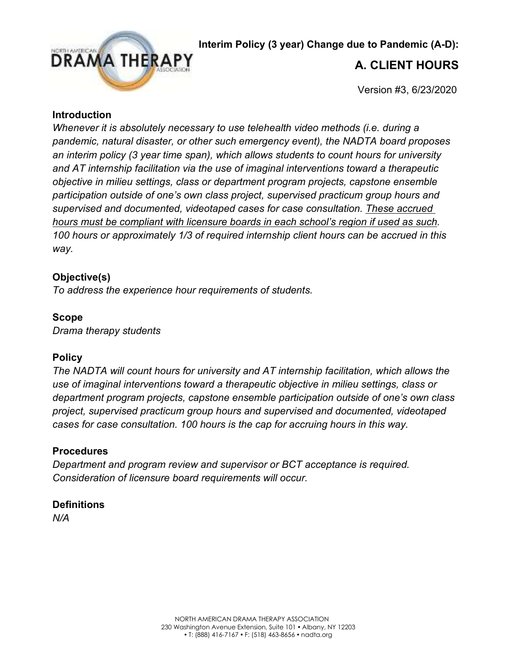

# **Interim Policy (3 year) Change due to Pandemic (A-D):**

# **A. CLIENT HOURS**

Version #3, 6/23/2020

### **Introduction**

*Whenever it is absolutely necessary to use telehealth video methods (i.e. during a pandemic, natural disaster, or other such emergency event), the NADTA board proposes an interim policy (3 year time span), which allows students to count hours for university and AT internship facilitation via the use of imaginal interventions toward a therapeutic objective in milieu settings, class or department program projects, capstone ensemble participation outside of one's own class project, supervised practicum group hours and supervised and documented, videotaped cases for case consultation. These accrued hours must be compliant with licensure boards in each school's region if used as such. 100 hours or approximately 1/3 of required internship client hours can be accrued in this way.* 

### **Objective(s)**

*To address the experience hour requirements of students.* 

### **Scope**

*Drama therapy students* 

### **Policy**

*The NADTA will count hours for university and AT internship facilitation, which allows the use of imaginal interventions toward a therapeutic objective in milieu settings, class or department program projects, capstone ensemble participation outside of one's own class project, supervised practicum group hours and supervised and documented, videotaped cases for case consultation. 100 hours is the cap for accruing hours in this way.* 

### **Procedures**

*Department and program review and supervisor or BCT acceptance is required. Consideration of licensure board requirements will occur.* 

### **Definitions**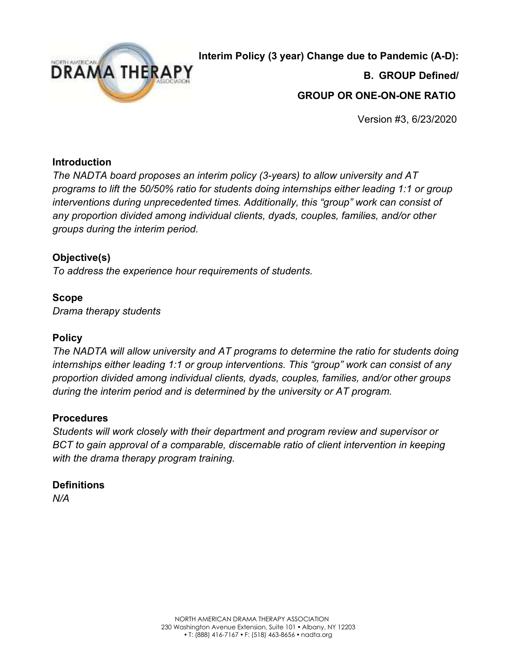

**GROUP OR ONE-ON-ONE RATIO** 

Version #3, 6/23/2020

### **Introduction**

*The NADTA board proposes an interim policy (3-years) to allow university and AT programs to lift the 50/50% ratio for students doing internships either leading 1:1 or group interventions during unprecedented times. Additionally, this "group" work can consist of any proportion divided among individual clients, dyads, couples, families, and/or other groups during the interim period.* 

# **Objective(s)**

*To address the experience hour requirements of students.* 

# **Scope**

*Drama therapy students* 

### **Policy**

*The NADTA will allow university and AT programs to determine the ratio for students doing internships either leading 1:1 or group interventions. This "group" work can consist of any proportion divided among individual clients, dyads, couples, families, and/or other groups during the interim period and is determined by the university or AT program.* 

### **Procedures**

*Students will work closely with their department and program review and supervisor or BCT to gain approval of a comparable, discernable ratio of client intervention in keeping with the drama therapy program training.* 

### **Definitions**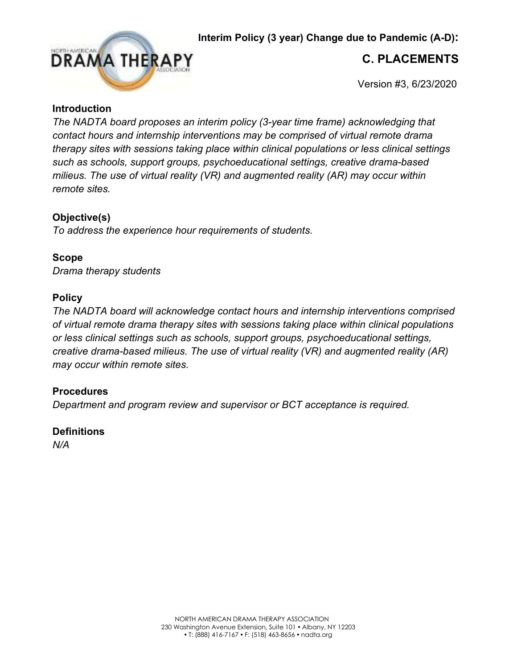

# **Interim Policy (3 year) Change due to Pandemic (A-D):**

# **C. PLACEMENTS**

Version #3, 6/23/2020

### **Introduction**

*The NADTA board proposes an interim policy (3-year time frame) acknowledging that contact hours and internship interventions may be comprised of virtual remote drama therapy sites with sessions taking place within clinical populations or less clinical settings such as schools, support groups, psychoeducational settings, creative drama-based milieus. The use of virtual reality (VR) and augmented reality (AR) may occur within remote sites.* 

### **Objective(s)**

*To address the experience hour requirements of students.* 

### **Scope**

*Drama therapy students* 

### **Policy**

*The NADTA board will acknowledge contact hours and internship interventions comprised of virtual remote drama therapy sites with sessions taking place within clinical populations or less clinical settings such as schools, support groups, psychoeducational settings, creative drama-based milieus. The use of virtual reality (VR) and augmented reality (AR) may occur within remote sites.* 

### **Procedures**

*Department and program review and supervisor or BCT acceptance is required.* 

### **Definitions**